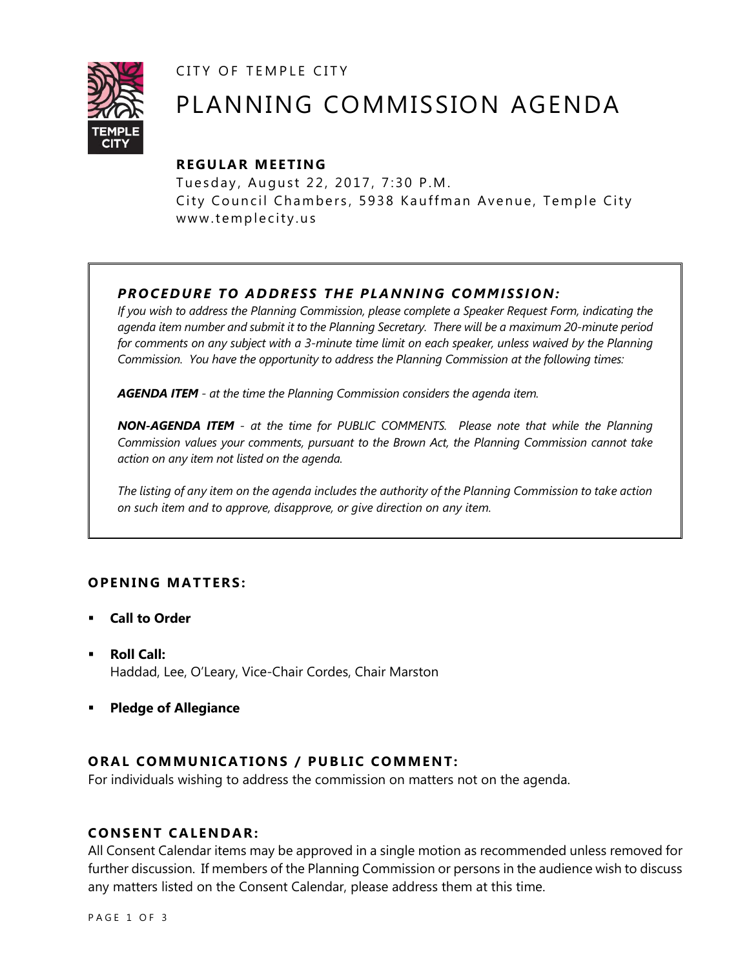CITY OF TEMPLE CITY



# PLANNING COMMISSION AGENDA

## **R EGULA R MEE TING**

Tuesday, August 22, 2017, 7:30 P.M. City Council Chambers, 5938 Kauffman Avenue, Temple City www.templecity.us

# *PRO CE DURE TO ADDRE SS THE P LA NNI NG COMM I SSION:*

*If you wish to address the Planning Commission, please complete a Speaker Request Form, indicating the agenda item number and submit it to the Planning Secretary. There will be a maximum 20-minute period*  for comments on any subject with a 3-minute time limit on each speaker, unless waived by the Planning *Commission. You have the opportunity to address the Planning Commission at the following times:*

*AGENDA ITEM - at the time the Planning Commission considers the agenda item.*

*NON-AGENDA ITEM - at the time for PUBLIC COMMENTS. Please note that while the Planning Commission values your comments, pursuant to the Brown Act, the Planning Commission cannot take action on any item not listed on the agenda.*

*The listing of any item on the agenda includes the authority of the Planning Commission to take action on such item and to approve, disapprove, or give direction on any item.*

## **OPENING MATTERS:**

- **Call to Order**
- **Roll Call:** Haddad, Lee, O'Leary, Vice-Chair Cordes, Chair Marston
- **Pledge of Allegiance**

## **ORAL COMMUNICATIONS / PUBLIC COMMENT:**

For individuals wishing to address the commission on matters not on the agenda.

## **CONSENT CA LENDAR:**

All Consent Calendar items may be approved in a single motion as recommended unless removed for further discussion. If members of the Planning Commission or persons in the audience wish to discuss any matters listed on the Consent Calendar, please address them at this time.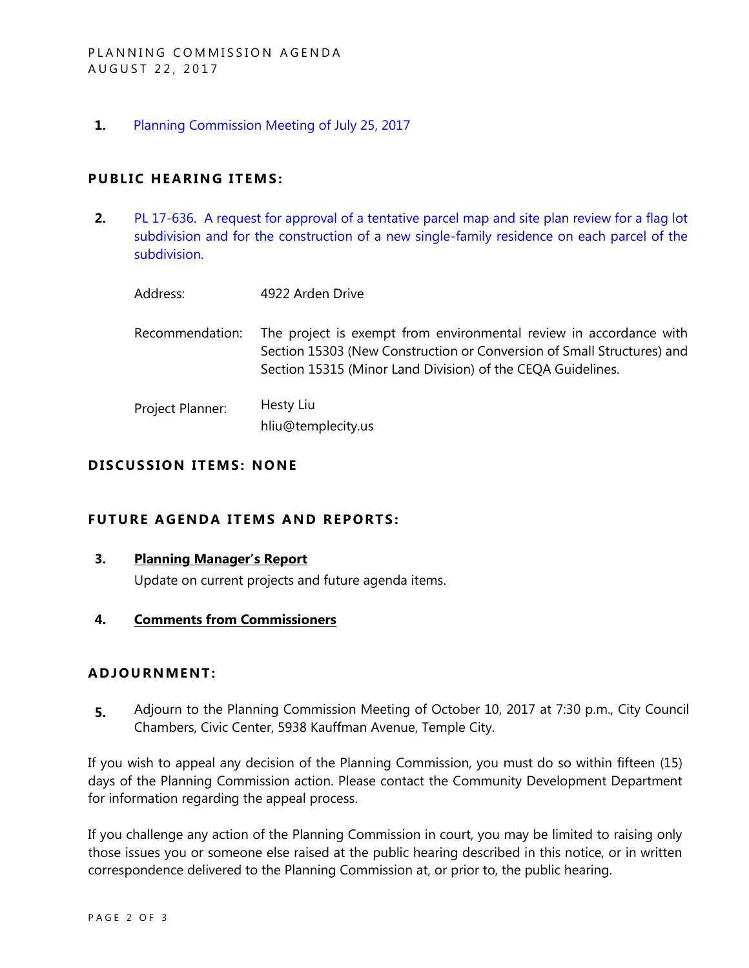**1.** [Planning Commission Meeting of July 25, 2017](https://ca-templecity.civicplus.com/DocumentCenter/View/8947)

## **PUBLIC HEARING ITEMS:**

**2.** [PL 17-636. A request for approval of a tentative parcel map and site plan review for a flag lot](https://ca-templecity.civicplus.com/DocumentCenter/View/8948)  [subdivision and for the construction of a new single-family residence on each parcel of the](https://ca-templecity.civicplus.com/DocumentCenter/View/8948)  [subdivision.](https://ca-templecity.civicplus.com/DocumentCenter/View/8948)

| Address: | 4922 Arden Drive                                      |
|----------|-------------------------------------------------------|
|          | Recommendation: The project is exempt from environmen |

- ntal review in accordance with Section 15303 (New Construction or Conversion of Small Structures) and Section 15315 (Minor Land Division) of the CEQA Guidelines.
- Project Planner: Hesty Liu hliu@templecity.us

## **D ISCUSSION ITEMS: NONE**

## **FUTURE AGENDA ITEMS AND REPORTS:**

**3. Planning Manager's Report**

Update on current projects and future agenda items.

#### **4. Comments from Commissioners**

#### **ADJOU RNMENT:**

**5.** Adjourn to the Planning Commission Meeting of October 10, 2017 at 7:30 p.m., City Council Chambers, Civic Center, 5938 Kauffman Avenue, Temple City.

If you wish to appeal any decision of the Planning Commission, you must do so within fifteen (15) days of the Planning Commission action. Please contact the Community Development Department for information regarding the appeal process.

If you challenge any action of the Planning Commission in court, you may be limited to raising only those issues you or someone else raised at the public hearing described in this notice, or in written correspondence delivered to the Planning Commission at, or prior to, the public hearing.